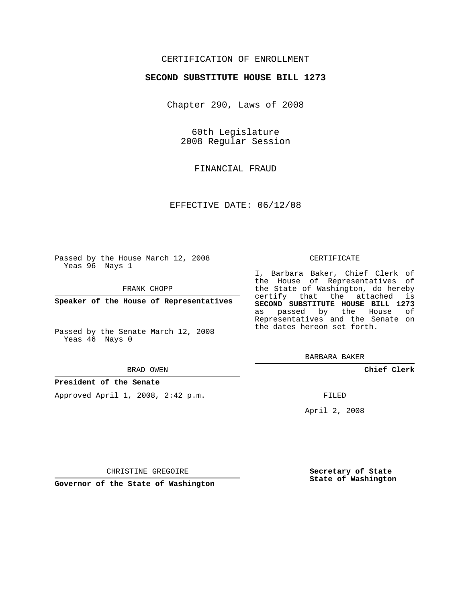## CERTIFICATION OF ENROLLMENT

## **SECOND SUBSTITUTE HOUSE BILL 1273**

Chapter 290, Laws of 2008

60th Legislature 2008 Regular Session

FINANCIAL FRAUD

EFFECTIVE DATE: 06/12/08

Passed by the House March 12, 2008 Yeas 96 Nays 1

FRANK CHOPP

**Speaker of the House of Representatives**

Passed by the Senate March 12, 2008 Yeas 46 Nays 0

#### BRAD OWEN

### **President of the Senate**

Approved April 1, 2008, 2:42 p.m.

#### CERTIFICATE

I, Barbara Baker, Chief Clerk of the House of Representatives of the State of Washington, do hereby certify that the attached is **SECOND SUBSTITUTE HOUSE BILL 1273** as passed by the House of Representatives and the Senate on the dates hereon set forth.

BARBARA BAKER

**Chief Clerk**

FILED

April 2, 2008

**Secretary of State State of Washington**

CHRISTINE GREGOIRE

**Governor of the State of Washington**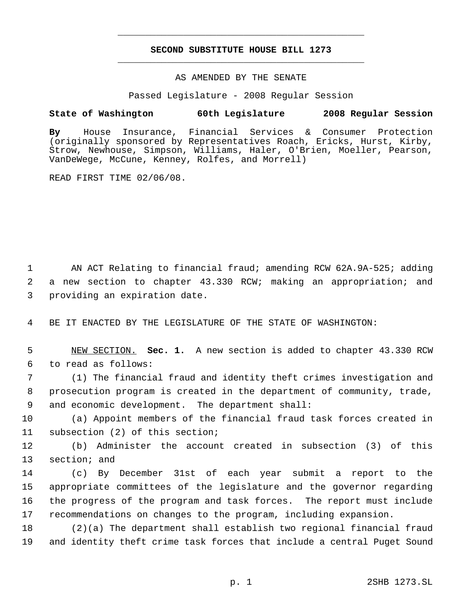# **SECOND SUBSTITUTE HOUSE BILL 1273** \_\_\_\_\_\_\_\_\_\_\_\_\_\_\_\_\_\_\_\_\_\_\_\_\_\_\_\_\_\_\_\_\_\_\_\_\_\_\_\_\_\_\_\_\_

\_\_\_\_\_\_\_\_\_\_\_\_\_\_\_\_\_\_\_\_\_\_\_\_\_\_\_\_\_\_\_\_\_\_\_\_\_\_\_\_\_\_\_\_\_

### AS AMENDED BY THE SENATE

Passed Legislature - 2008 Regular Session

## **State of Washington 60th Legislature 2008 Regular Session**

**By** House Insurance, Financial Services & Consumer Protection (originally sponsored by Representatives Roach, Ericks, Hurst, Kirby, Strow, Newhouse, Simpson, Williams, Haler, O'Brien, Moeller, Pearson, VanDeWege, McCune, Kenney, Rolfes, and Morrell)

READ FIRST TIME 02/06/08.

1 AN ACT Relating to financial fraud; amending RCW 62A.9A-525; adding 2 a new section to chapter 43.330 RCW; making an appropriation; and 3 providing an expiration date.

4 BE IT ENACTED BY THE LEGISLATURE OF THE STATE OF WASHINGTON:

 5 NEW SECTION. **Sec. 1.** A new section is added to chapter 43.330 RCW 6 to read as follows:

 7 (1) The financial fraud and identity theft crimes investigation and 8 prosecution program is created in the department of community, trade, 9 and economic development. The department shall:

10 (a) Appoint members of the financial fraud task forces created in 11 subsection (2) of this section;

12 (b) Administer the account created in subsection (3) of this 13 section; and

 (c) By December 31st of each year submit a report to the appropriate committees of the legislature and the governor regarding the progress of the program and task forces. The report must include recommendations on changes to the program, including expansion.

18 (2)(a) The department shall establish two regional financial fraud 19 and identity theft crime task forces that include a central Puget Sound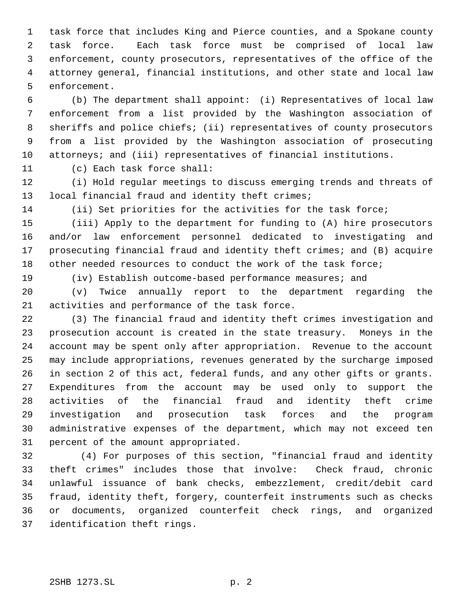task force that includes King and Pierce counties, and a Spokane county task force. Each task force must be comprised of local law enforcement, county prosecutors, representatives of the office of the attorney general, financial institutions, and other state and local law enforcement.

 (b) The department shall appoint: (i) Representatives of local law enforcement from a list provided by the Washington association of sheriffs and police chiefs; (ii) representatives of county prosecutors from a list provided by the Washington association of prosecuting attorneys; and (iii) representatives of financial institutions.

(c) Each task force shall:

 (i) Hold regular meetings to discuss emerging trends and threats of local financial fraud and identity theft crimes;

(ii) Set priorities for the activities for the task force;

 (iii) Apply to the department for funding to (A) hire prosecutors and/or law enforcement personnel dedicated to investigating and prosecuting financial fraud and identity theft crimes; and (B) acquire other needed resources to conduct the work of the task force;

(iv) Establish outcome-based performance measures; and

 (v) Twice annually report to the department regarding the activities and performance of the task force.

 (3) The financial fraud and identity theft crimes investigation and prosecution account is created in the state treasury. Moneys in the account may be spent only after appropriation. Revenue to the account may include appropriations, revenues generated by the surcharge imposed in section 2 of this act, federal funds, and any other gifts or grants. Expenditures from the account may be used only to support the activities of the financial fraud and identity theft crime investigation and prosecution task forces and the program administrative expenses of the department, which may not exceed ten percent of the amount appropriated.

32 (4) For purposes of this section, "financial fraud and identity theft crimes" includes those that involve: Check fraud, chronic unlawful issuance of bank checks, embezzlement, credit/debit card fraud, identity theft, forgery, counterfeit instruments such as checks or documents, organized counterfeit check rings, and organized identification theft rings.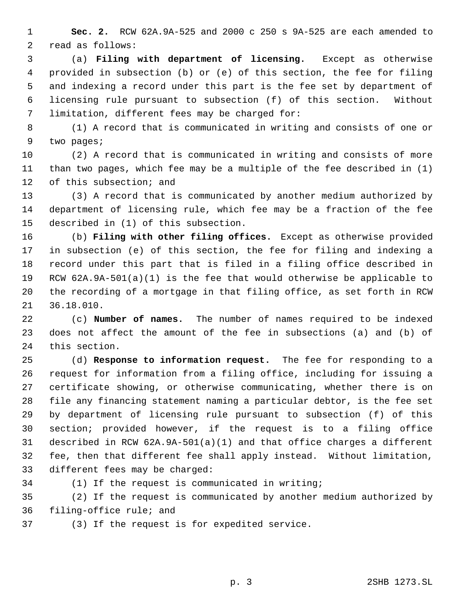**Sec. 2.** RCW 62A.9A-525 and 2000 c 250 s 9A-525 are each amended to read as follows:

 (a) **Filing with department of licensing.** Except as otherwise provided in subsection (b) or (e) of this section, the fee for filing and indexing a record under this part is the fee set by department of licensing rule pursuant to subsection (f) of this section. Without limitation, different fees may be charged for:

 (1) A record that is communicated in writing and consists of one or two pages;

 (2) A record that is communicated in writing and consists of more than two pages, which fee may be a multiple of the fee described in (1) of this subsection; and

 (3) A record that is communicated by another medium authorized by department of licensing rule, which fee may be a fraction of the fee described in (1) of this subsection.

 (b) **Filing with other filing offices.** Except as otherwise provided in subsection (e) of this section, the fee for filing and indexing a record under this part that is filed in a filing office described in RCW 62A.9A-501(a)(1) is the fee that would otherwise be applicable to the recording of a mortgage in that filing office, as set forth in RCW 36.18.010.

 (c) **Number of names.** The number of names required to be indexed does not affect the amount of the fee in subsections (a) and (b) of this section.

 (d) **Response to information request.** The fee for responding to a request for information from a filing office, including for issuing a certificate showing, or otherwise communicating, whether there is on file any financing statement naming a particular debtor, is the fee set by department of licensing rule pursuant to subsection (f) of this section; provided however, if the request is to a filing office described in RCW 62A.9A-501(a)(1) and that office charges a different fee, then that different fee shall apply instead. Without limitation, different fees may be charged:

(1) If the request is communicated in writing;

 (2) If the request is communicated by another medium authorized by filing-office rule; and

(3) If the request is for expedited service.